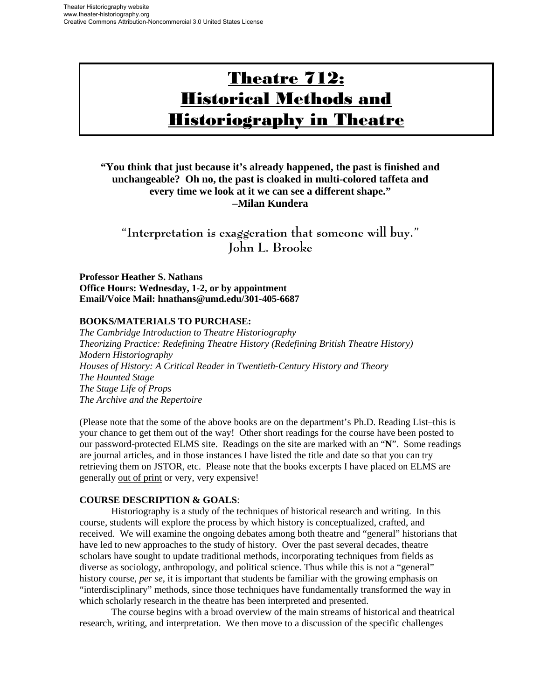# Theatre 712: Historical Methods and Historiography in Theatre

**"You think that just because it's already happened, the past is finished and unchangeable? Oh no, the past is cloaked in multi-colored taffeta and every time we look at it we can see a different shape." –Milan Kundera**

**"Interpretation is exaggeration that someone will buy." John L. Brooke**

**Professor Heather S. Nathans Office Hours: Wednesday, 1-2, or by appointment Email/Voice Mail: hnathans@umd.edu/301-405-6687**

#### **BOOKS/MATERIALS TO PURCHASE:**

*The Cambridge Introduction to Theatre Historiography Theorizing Practice: Redefining Theatre History (Redefining British Theatre History) Modern Historiography Houses of History: A Critical Reader in Twentieth-Century History and Theory The Haunted Stage The Stage Life of Props The Archive and the Repertoire*

(Please note that the some of the above books are on the department's Ph.D. Reading List–this is your chance to get them out of the way! Other short readings for the course have been posted to our password-protected ELMS site. Readings on the site are marked with an "**N**". Some readings are journal articles, and in those instances I have listed the title and date so that you can try retrieving them on JSTOR, etc. Please note that the books excerpts I have placed on ELMS are generally out of print or very, very expensive!

### **COURSE DESCRIPTION & GOALS**:

Historiography is a study of the techniques of historical research and writing. In this course, students will explore the process by which history is conceptualized, crafted, and received. We will examine the ongoing debates among both theatre and "general" historians that have led to new approaches to the study of history. Over the past several decades, theatre scholars have sought to update traditional methods, incorporating techniques from fields as diverse as sociology, anthropology, and political science. Thus while this is not a "general" history course, *per se*, it is important that students be familiar with the growing emphasis on "interdisciplinary" methods, since those techniques have fundamentally transformed the way in which scholarly research in the theatre has been interpreted and presented.

The course begins with a broad overview of the main streams of historical and theatrical research, writing, and interpretation. We then move to a discussion of the specific challenges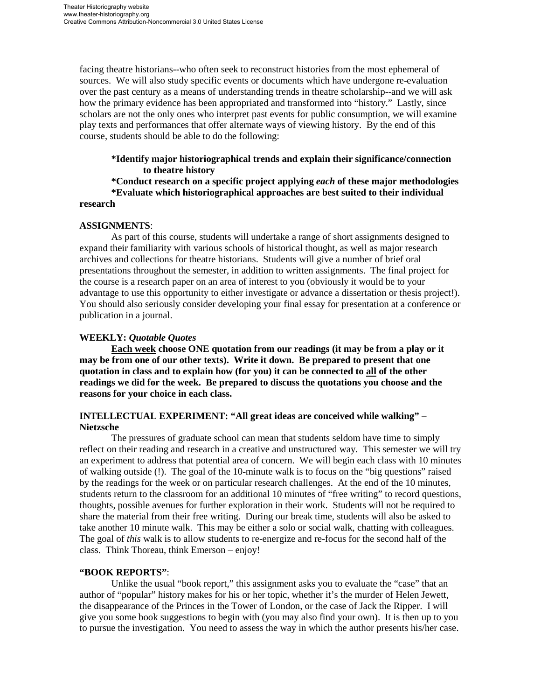facing theatre historians--who often seek to reconstruct histories from the most ephemeral of sources. We will also study specific events or documents which have undergone re-evaluation over the past century as a means of understanding trends in theatre scholarship--and we will ask how the primary evidence has been appropriated and transformed into "history." Lastly, since scholars are not the only ones who interpret past events for public consumption, we will examine play texts and performances that offer alternate ways of viewing history. By the end of this course, students should be able to do the following:

### **\*Identify major historiographical trends and explain their significance/connection to theatre history**

**\*Conduct research on a specific project applying** *each* **of these major methodologies \*Evaluate which historiographical approaches are best suited to their individual** 

## **research**

### **ASSIGNMENTS**:

As part of this course, students will undertake a range of short assignments designed to expand their familiarity with various schools of historical thought, as well as major research archives and collections for theatre historians. Students will give a number of brief oral presentations throughout the semester, in addition to written assignments. The final project for the course is a research paper on an area of interest to you (obviously it would be to your advantage to use this opportunity to either investigate or advance a dissertation or thesis project!). You should also seriously consider developing your final essay for presentation at a conference or publication in a journal.

### **WEEKLY:** *Quotable Quotes*

**Each week choose ONE quotation from our readings (it may be from a play or it may be from one of our other texts). Write it down. Be prepared to present that one quotation in class and to explain how (for you) it can be connected to all of the other readings we did for the week. Be prepared to discuss the quotations you choose and the reasons for your choice in each class.**

### **INTELLECTUAL EXPERIMENT: "All great ideas are conceived while walking" – Nietzsche**

The pressures of graduate school can mean that students seldom have time to simply reflect on their reading and research in a creative and unstructured way. This semester we will try an experiment to address that potential area of concern. We will begin each class with 10 minutes of walking outside (!). The goal of the 10-minute walk is to focus on the "big questions" raised by the readings for the week or on particular research challenges. At the end of the 10 minutes, students return to the classroom for an additional 10 minutes of "free writing" to record questions, thoughts, possible avenues for further exploration in their work. Students will not be required to share the material from their free writing. During our break time, students will also be asked to take another 10 minute walk. This may be either a solo or social walk, chatting with colleagues. The goal of *this* walk is to allow students to re-energize and re-focus for the second half of the class. Think Thoreau, think Emerson – enjoy!

### **"BOOK REPORTS"**:

Unlike the usual "book report," this assignment asks you to evaluate the "case" that an author of "popular" history makes for his or her topic, whether it's the murder of Helen Jewett, the disappearance of the Princes in the Tower of London, or the case of Jack the Ripper. I will give you some book suggestions to begin with (you may also find your own). It is then up to you to pursue the investigation. You need to assess the way in which the author presents his/her case.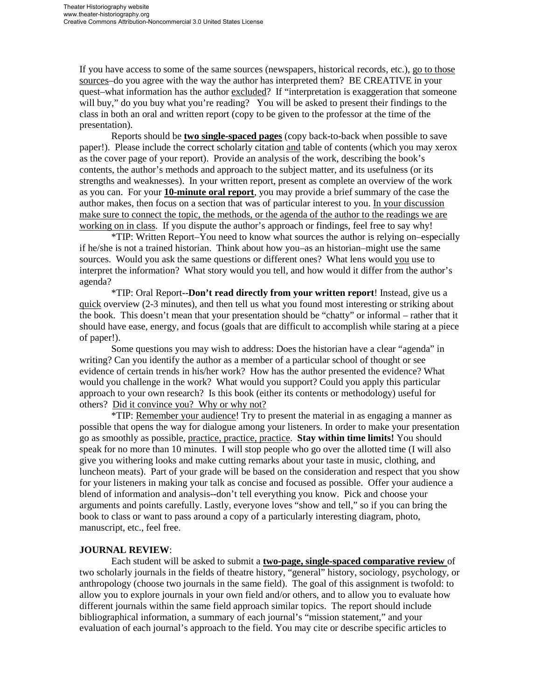If you have access to some of the same sources (newspapers, historical records, etc.), go to those sources–do you agree with the way the author has interpreted them? BE CREATIVE in your quest–what information has the author excluded? If "interpretation is exaggeration that someone will buy," do you buy what you're reading? You will be asked to present their findings to the class in both an oral and written report (copy to be given to the professor at the time of the presentation).

Reports should be **two single-spaced pages** (copy back-to-back when possible to save paper!). Please include the correct scholarly citation and table of contents (which you may xerox as the cover page of your report). Provide an analysis of the work, describing the book's contents, the author's methods and approach to the subject matter, and its usefulness (or its strengths and weaknesses). In your written report, present as complete an overview of the work as you can. For your **10-minute oral report**, you may provide a brief summary of the case the author makes, then focus on a section that was of particular interest to you. In your discussion make sure to connect the topic, the methods, or the agenda of the author to the readings we are working on in class. If you dispute the author's approach or findings, feel free to say why!

 \*TIP: Written Report–You need to know what sources the author is relying on–especially if he/she is not a trained historian. Think about how you–as an historian–might use the same sources. Would you ask the same questions or different ones? What lens would you use to interpret the information? What story would you tell, and how would it differ from the author's agenda?

 \*TIP: Oral Report--**Don't read directly from your written report**! Instead, give us a quick overview (2-3 minutes), and then tell us what you found most interesting or striking about the book. This doesn't mean that your presentation should be "chatty" or informal – rather that it should have ease, energy, and focus (goals that are difficult to accomplish while staring at a piece of paper!).

Some questions you may wish to address: Does the historian have a clear "agenda" in writing? Can you identify the author as a member of a particular school of thought or see evidence of certain trends in his/her work? How has the author presented the evidence? What would you challenge in the work? What would you support? Could you apply this particular approach to your own research? Is this book (either its contents or methodology) useful for others? Did it convince you? Why or why not?

\*TIP: Remember your audience! Try to present the material in as engaging a manner as possible that opens the way for dialogue among your listeners. In order to make your presentation go as smoothly as possible, practice, practice, practice. **Stay within time limits!** You should speak for no more than 10 minutes. I will stop people who go over the allotted time (I will also give you withering looks and make cutting remarks about your taste in music, clothing, and luncheon meats). Part of your grade will be based on the consideration and respect that you show for your listeners in making your talk as concise and focused as possible. Offer your audience a blend of information and analysis--don't tell everything you know. Pick and choose your arguments and points carefully. Lastly, everyone loves "show and tell," so if you can bring the book to class or want to pass around a copy of a particularly interesting diagram, photo, manuscript, etc., feel free.

### **JOURNAL REVIEW**:

 Each student will be asked to submit a **two-page, single-spaced comparative review** of two scholarly journals in the fields of theatre history, "general" history, sociology, psychology, or anthropology (choose two journals in the same field). The goal of this assignment is twofold: to allow you to explore journals in your own field and/or others, and to allow you to evaluate how different journals within the same field approach similar topics. The report should include bibliographical information, a summary of each journal's "mission statement," and your evaluation of each journal's approach to the field. You may cite or describe specific articles to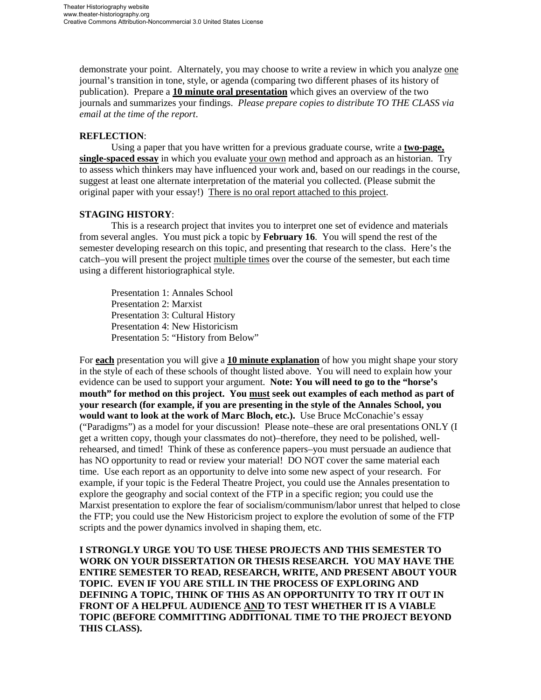demonstrate your point. Alternately, you may choose to write a review in which you analyze one journal's transition in tone, style, or agenda (comparing two different phases of its history of publication). Prepare a **10 minute oral presentation** which gives an overview of the two journals and summarizes your findings. *Please prepare copies to distribute TO THE CLASS via email at the time of the report*.

#### **REFLECTION**:

Using a paper that you have written for a previous graduate course, write a **two-page, single-spaced essay** in which you evaluate your own method and approach as an historian. Try to assess which thinkers may have influenced your work and, based on our readings in the course, suggest at least one alternate interpretation of the material you collected. (Please submit the original paper with your essay!) There is no oral report attached to this project.

#### **STAGING HISTORY**:

This is a research project that invites you to interpret one set of evidence and materials from several angles. You must pick a topic by **February 16**. You will spend the rest of the semester developing research on this topic, and presenting that research to the class. Here's the catch–you will present the project multiple times over the course of the semester, but each time using a different historiographical style.

 Presentation 1: Annales School Presentation 2: Marxist Presentation 3: Cultural History Presentation 4: New Historicism Presentation 5: "History from Below"

For **each** presentation you will give a **10 minute explanation** of how you might shape your story in the style of each of these schools of thought listed above. You will need to explain how your evidence can be used to support your argument. **Note: You will need to go to the "horse's mouth" for method on this project. You must seek out examples of each method as part of your research (for example, if you are presenting in the style of the Annales School, you would want to look at the work of Marc Bloch, etc.).** Use Bruce McConachie's essay ("Paradigms") as a model for your discussion! Please note–these are oral presentations ONLY (I get a written copy, though your classmates do not)–therefore, they need to be polished, wellrehearsed, and timed! Think of these as conference papers–you must persuade an audience that has NO opportunity to read or review your material! DO NOT cover the same material each time. Use each report as an opportunity to delve into some new aspect of your research. For example, if your topic is the Federal Theatre Project, you could use the Annales presentation to explore the geography and social context of the FTP in a specific region; you could use the Marxist presentation to explore the fear of socialism/communism/labor unrest that helped to close the FTP; you could use the New Historicism project to explore the evolution of some of the FTP scripts and the power dynamics involved in shaping them, etc.

**I STRONGLY URGE YOU TO USE THESE PROJECTS AND THIS SEMESTER TO WORK ON YOUR DISSERTATION OR THESIS RESEARCH. YOU MAY HAVE THE ENTIRE SEMESTER TO READ, RESEARCH, WRITE, AND PRESENT ABOUT YOUR TOPIC. EVEN IF YOU ARE STILL IN THE PROCESS OF EXPLORING AND DEFINING A TOPIC, THINK OF THIS AS AN OPPORTUNITY TO TRY IT OUT IN FRONT OF A HELPFUL AUDIENCE AND TO TEST WHETHER IT IS A VIABLE TOPIC (BEFORE COMMITTING ADDITIONAL TIME TO THE PROJECT BEYOND THIS CLASS).**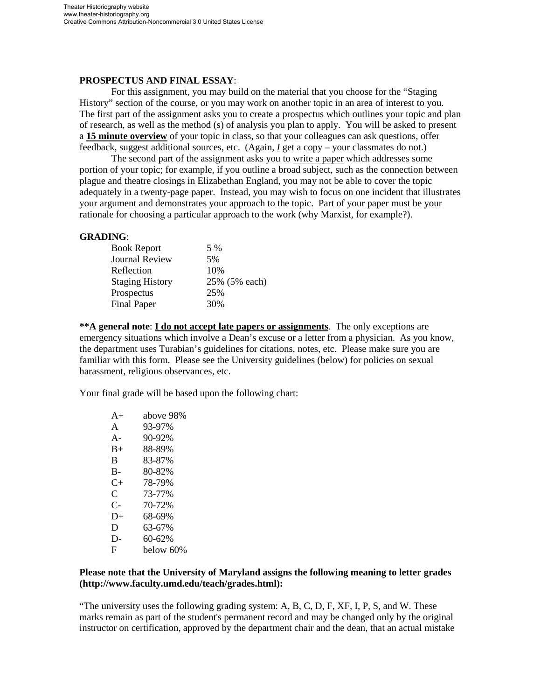### **PROSPECTUS AND FINAL ESSAY**:

 For this assignment, you may build on the material that you choose for the "Staging History" section of the course, or you may work on another topic in an area of interest to you. The first part of the assignment asks you to create a prospectus which outlines your topic and plan of research, as well as the method (s) of analysis you plan to apply. You will be asked to present a **15 minute overview** of your topic in class, so that your colleagues can ask questions, offer feedback, suggest additional sources, etc. (Again, *I* get a copy – your classmates do not.)

 The second part of the assignment asks you to write a paper which addresses some portion of your topic; for example, if you outline a broad subject, such as the connection between plague and theatre closings in Elizabethan England, you may not be able to cover the topic adequately in a twenty-page paper. Instead, you may wish to focus on one incident that illustrates your argument and demonstrates your approach to the topic. Part of your paper must be your rationale for choosing a particular approach to the work (why Marxist, for example?).

### **GRADING**:

| <b>Book Report</b>     | 5 %           |
|------------------------|---------------|
| <b>Journal Review</b>  | 5%            |
| Reflection             | 10%           |
| <b>Staging History</b> | 25% (5% each) |
| Prospectus             | 25%           |
| <b>Final Paper</b>     | 30%           |

**\*\*A general note**: **I do not accept late papers or assignments**. The only exceptions are emergency situations which involve a Dean's excuse or a letter from a physician. As you know, the department uses Turabian's guidelines for citations, notes, etc. Please make sure you are familiar with this form. Please see the University guidelines (below) for policies on sexual harassment, religious observances, etc.

Your final grade will be based upon the following chart:

| $A+$  | above 98% |
|-------|-----------|
| A     | 93-97%    |
| $A -$ | 90-92%    |
| $B+$  | 88-89%    |
| B     | 83-87%    |
| B-    | 80-82%    |
| C+    | 78-79%    |
| C     | 73-77%    |
| $C-$  | 70-72%    |
| $D+$  | 68-69%    |
| D     | 63-67%    |
| D-    | 60-62%    |
| F     | below 60% |

### **Please note that the University of Maryland assigns the following meaning to letter grades (http://www.faculty.umd.edu/teach/grades.html):**

"The university uses the following grading system: A, B, C, D, F, XF, I, P, S, and W. These marks remain as part of the student's permanent record and may be changed only by the original instructor on certification, approved by the department chair and the dean, that an actual mistake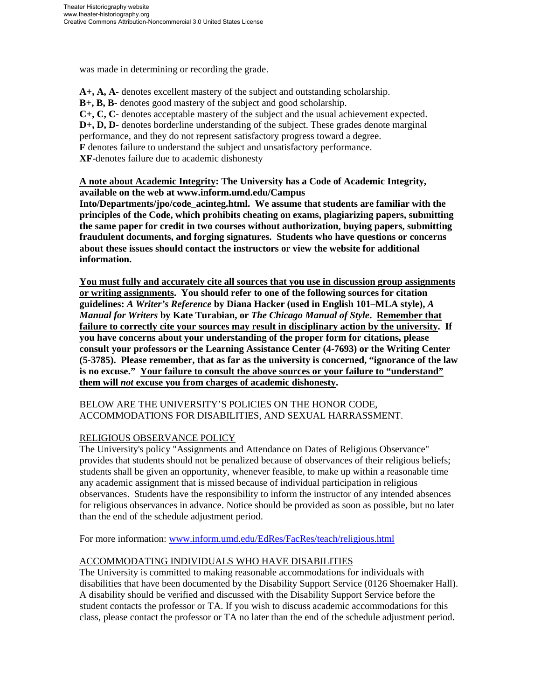was made in determining or recording the grade.

**A+, A, A-** denotes excellent mastery of the subject and outstanding scholarship. **B+, B, B-** denotes good mastery of the subject and good scholarship. **C+, C, C-** denotes acceptable mastery of the subject and the usual achievement expected. **D+, D, D-** denotes borderline understanding of the subject. These grades denote marginal performance, and they do not represent satisfactory progress toward a degree. **F** denotes failure to understand the subject and unsatisfactory performance. **XF**-denotes failure due to academic dishonesty

## **A note about Academic Integrity: The University has a Code of Academic Integrity, available on the web at www.inform.umd.edu/Campus**

**Into/Departments/jpo/code\_acinteg.html. We assume that students are familiar with the principles of the Code, which prohibits cheating on exams, plagiarizing papers, submitting the same paper for credit in two courses without authorization, buying papers, submitting fraudulent documents, and forging signatures. Students who have questions or concerns about these issues should contact the instructors or view the website for additional information.**

**You must fully and accurately cite all sources that you use in discussion group assignments or writing assignments. You should refer to one of the following sources for citation guidelines:** *A Writer's Reference* **by Diana Hacker (used in English 101–MLA style),** *A Manual for Writers* **by Kate Turabian, or** *The Chicago Manual of Style***. Remember that failure to correctly cite your sources may result in disciplinary action by the university. If you have concerns about your understanding of the proper form for citations, please consult your professors or the Learning Assistance Center (4-7693) or the Writing Center (5-3785). Please remember, that as far as the university is concerned, "ignorance of the law is no excuse." Your failure to consult the above sources or your failure to "understand" them will** *not* **excuse you from charges of academic dishonesty.** 

BELOW ARE THE UNIVERSITY'S POLICIES ON THE HONOR CODE, ACCOMMODATIONS FOR DISABILITIES, AND SEXUAL HARRASSMENT.

# RELIGIOUS OBSERVANCE POLICY

The University's policy "Assignments and Attendance on Dates of Religious Observance" provides that students should not be penalized because of observances of their religious beliefs; students shall be given an opportunity, whenever feasible, to make up within a reasonable time any academic assignment that is missed because of individual participation in religious observances. Students have the responsibility to inform the instructor of any intended absences for religious observances in advance. Notice should be provided as soon as possible, but no later than the end of the schedule adjustment period.

For more information: www.inform.umd.edu/EdRes/FacRes/teach/religious.html

## ACCOMMODATING INDIVIDUALS WHO HAVE DISABILITIES

The University is committed to making reasonable accommodations for individuals with disabilities that have been documented by the Disability Support Service (0126 Shoemaker Hall). A disability should be verified and discussed with the Disability Support Service before the student contacts the professor or TA. If you wish to discuss academic accommodations for this class, please contact the professor or TA no later than the end of the schedule adjustment period.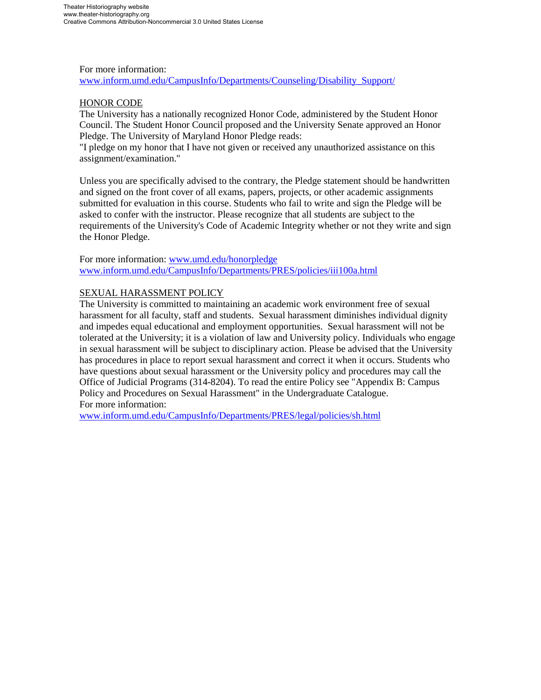For more information:

www.inform.umd.edu/CampusInfo/Departments/Counseling/Disability\_Support/

## HONOR CODE

The University has a nationally recognized Honor Code, administered by the Student Honor Council. The Student Honor Council proposed and the University Senate approved an Honor Pledge. The University of Maryland Honor Pledge reads:

"I pledge on my honor that I have not given or received any unauthorized assistance on this assignment/examination."

Unless you are specifically advised to the contrary, the Pledge statement should be handwritten and signed on the front cover of all exams, papers, projects, or other academic assignments submitted for evaluation in this course. Students who fail to write and sign the Pledge will be asked to confer with the instructor. Please recognize that all students are subject to the requirements of the University's Code of Academic Integrity whether or not they write and sign the Honor Pledge.

For more information: www.umd.edu/honorpledge www.inform.umd.edu/CampusInfo/Departments/PRES/policies/iii100a.html

## SEXUAL HARASSMENT POLICY

The University is committed to maintaining an academic work environment free of sexual harassment for all faculty, staff and students. Sexual harassment diminishes individual dignity and impedes equal educational and employment opportunities. Sexual harassment will not be tolerated at the University; it is a violation of law and University policy. Individuals who engage in sexual harassment will be subject to disciplinary action. Please be advised that the University has procedures in place to report sexual harassment and correct it when it occurs. Students who have questions about sexual harassment or the University policy and procedures may call the Office of Judicial Programs (314-8204). To read the entire Policy see "Appendix B: Campus Policy and Procedures on Sexual Harassment" in the Undergraduate Catalogue. For more information:

[www.inform.umd.edu/CampusInfo/Departments/PRES/legal/policies/sh.html](http://www.inform.umd.edu/CampusInfo/Departments/PRES/legal/policies/sh.html)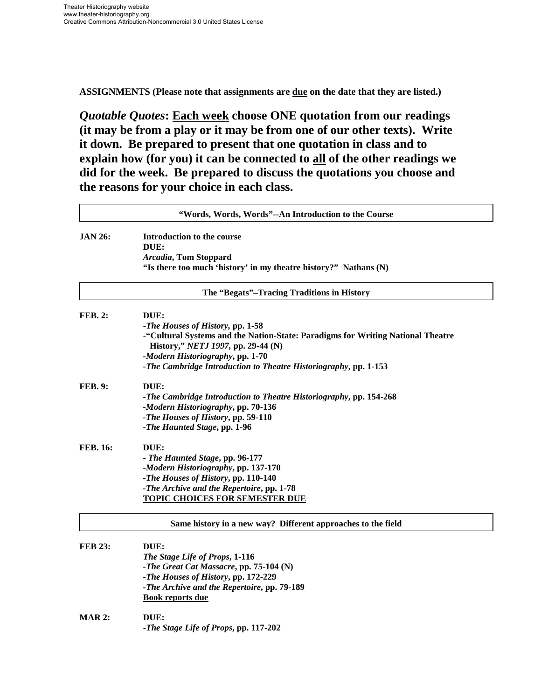$\overline{\Gamma}$ 

**ASSIGNMENTS (Please note that assignments are due on the date that they are listed.)**

*Quotable Quotes***: Each week choose ONE quotation from our readings (it may be from a play or it may be from one of our other texts). Write it down. Be prepared to present that one quotation in class and to explain how (for you) it can be connected to all of the other readings we did for the week. Be prepared to discuss the quotations you choose and the reasons for your choice in each class.**

| "Words, Words, Words"--An Introduction to the Course |                                                                                                                                                                                                                                                                           |  |
|------------------------------------------------------|---------------------------------------------------------------------------------------------------------------------------------------------------------------------------------------------------------------------------------------------------------------------------|--|
| <b>JAN 26:</b>                                       | Introduction to the course<br>DUE:<br>Arcadia, Tom Stoppard<br>"Is there too much 'history' in my theatre history?" Nathans (N)                                                                                                                                           |  |
|                                                      | The "Begats"-Tracing Traditions in History                                                                                                                                                                                                                                |  |
| FEB. 2:                                              | DUE:<br>-The Houses of History, pp. 1-58<br>-"Cultural Systems and the Nation-State: Paradigms for Writing National Theatre<br>History," NETJ 1997, pp. 29-44 (N)<br>-Modern Historiography, pp. 1-70<br>-The Cambridge Introduction to Theatre Historiography, pp. 1-153 |  |
| FEB. 9:                                              | DUE:<br>-The Cambridge Introduction to Theatre Historiography, pp. 154-268<br>-Modern Historiography, pp. 70-136<br>-The Houses of History, pp. 59-110<br>-The Haunted Stage, pp. 1-96                                                                                    |  |
| FEB. 16:                                             | DUE:<br>- The Haunted Stage, pp. 96-177<br>-Modern Historiography, pp. 137-170<br>-The Houses of History, pp. 110-140<br>-The Archive and the Repertoire, pp. 1-78<br><b>TOPIC CHOICES FOR SEMESTER DUE</b>                                                               |  |
|                                                      | Same history in a new way? Different approaches to the field                                                                                                                                                                                                              |  |
| FEB 23:                                              | DUE:<br>The Stage Life of Props, 1-116<br>-The Great Cat Massacre, pp. 75-104 (N)<br>-The Houses of History, pp. 172-229<br>-The Archive and the Repertoire, pp. 79-189<br><b>Book reports due</b>                                                                        |  |
| <b>MAR 2:</b>                                        | DUE:<br>-The Stage Life of Props, pp. 117-202                                                                                                                                                                                                                             |  |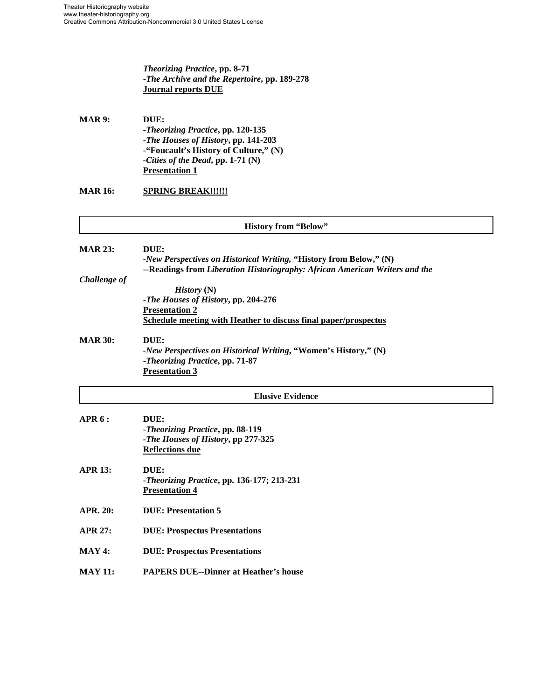#### *Theorizing Practice***, pp. 8-71 -***The Archive and the Repertoire***, pp. 189-278 Journal reports DUE**

**MAR 9: DUE:** *-Theorizing Practice***, pp. 120-135 -***The Houses of History***, pp. 141-203 -"Foucault's History of Culture," (N) -***Cities of the Dead***, pp. 1-71 (N) Presentation 1** 

#### **MAR 16: SPRING BREAK!!!!!!**

| <b>History from "Below"</b> |                                                                             |  |
|-----------------------------|-----------------------------------------------------------------------------|--|
|                             |                                                                             |  |
| <b>MAR 23:</b>              | DUE:<br>-New Perspectives on Historical Writing, "History from Below," (N)  |  |
|                             | --Readings from Liberation Historiography: African American Writers and the |  |
| Challenge of                |                                                                             |  |
|                             | History (N)                                                                 |  |
|                             | -The Houses of History, pp. 204-276                                         |  |
|                             | <b>Presentation 2</b>                                                       |  |
|                             | <b>Schedule meeting with Heather to discuss final paper/prospectus</b>      |  |
| <b>MAR 30:</b>              | DUE:                                                                        |  |
|                             | -New Perspectives on Historical Writing, "Women's History," (N)             |  |
|                             | -Theorizing Practice, pp. 71-87                                             |  |
|                             | <b>Presentation 3</b>                                                       |  |
|                             | <b>Elusive Evidence</b>                                                     |  |
| <b>APR 6:</b>               | DUE:                                                                        |  |
|                             | -Theorizing Practice, pp. 88-119                                            |  |
|                             | -The Houses of History, pp 277-325                                          |  |
|                             | <b>Reflections due</b>                                                      |  |
| <b>APR 13:</b>              | DUE:                                                                        |  |
|                             | -Theorizing Practice, pp. 136-177; 213-231                                  |  |
|                             | <b>Presentation 4</b>                                                       |  |
| <b>APR. 20:</b>             | <b>DUE: Presentation 5</b>                                                  |  |
| <b>APR 27:</b>              | <b>DUE: Prospectus Presentations</b>                                        |  |
| <b>MAY 4:</b>               | <b>DUE: Prospectus Presentations</b>                                        |  |
| <b>MAY 11:</b>              | <b>PAPERS DUE--Dinner at Heather's house</b>                                |  |
|                             |                                                                             |  |